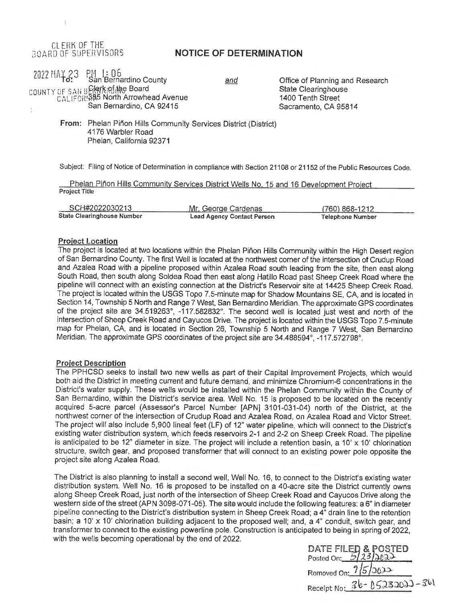# CL ERK OF THE<br>BOARD OF SUPERVISORS

## **NOTICE OF DETERMINATION**

# 2022 HAY 23 PM 1: 06<br>San Bernardino County COUNTY OF SAN BELOW, In Board CALIFOR: 385 North Arrowhead Avenue San Bernardino, CA 92415

and

Office of Planning and Research State Clearinghouse 1400 Tenth Street Sacramento, CA 95814

From: Phelan Piñon Hills Community Services District (District) 4176 Warbler Road Phelan, California 92371

Subject: Filing of Notice of Determination in compliance with Section 21108 or 21152 of the Public Resources Code.

Phelan Piñon Hills Community Services District Wells No. 15 and 16 Development Project Project Title

| SCH#2022030213             | Mr. George Cardenas        | (760) 868-1212   |  |  |  |
|----------------------------|----------------------------|------------------|--|--|--|
| State Clearinghouse Number | Lead Agency Contact Person | Telephone Number |  |  |  |

#### **Proiect Location**

The project is located at two locations within the Phelan Piñon Hills Community within the High Desert region of San Bernardino County. The first Well is located at the northwest corner of the intersection of Crudup Road and Azalea Road with a pipeline proposed within Azalea Road south leading from the site, then east along South Road, then south along Soldea Road then east along Hatillo Road past Sheep Creek Road where the pipeline will connect with an existing connection at the District's Reservoir site at 14425 Sheep Creek Road. The project is located within the USGS Topo 7.5-minute map for Shadow Mountains SE, CA, and is located in Section 14, Township 5 North and Range 7 West, San Bernardino Meridian. The approximate GPS coordinates of the project site are 34.519263°, -117.582832°. The second well is located just west and north of the intersection of Sheep Creek Road and Cayucos Drive. The project is located within the USGS Topo 7.5-minute map for Phelan, CA, and is located in Section 26, Township 5 North and Range 7 West, San Bernardino Meridian. The approximate GPS coordinates of the project site are 34.488594°, -117.572798°.

#### **Project Description**

The PPHCSD seeks to install two new wells as part of their Capital Improvement Projects, which would both aid the District in meeting current and future demand, and minimize Chromium-6 concentrations in the District's water supply. These wells would be installed within the Phelan Community within the County of San Bernardino, within the District's service area. Well No. 15 is proposed to be located on the recently acquired 5-acre parcel (Assessor's Parcel Number [APN] 3101-031-04) north of the District, at the northwest corner of the intersection of Crudup Road and Azalea Road, on Azalea Road and Victor Street. The project will also include 5,900 lineal feet (LF) of 12" water pipeline, which will connect to the District's existing water distribution system, which feeds reservoirs 2-1 and 2-2 on Sheep Creek Road. The pipeline is anticipated to be 12" diameter in size. The project will include a retention basin, a 10' x 10' chlorination structure, switch gear, and proposed transformer that will connect to an existing power pole opposite the project site along Azalea Road.

The District is also planning to install a second well, Well No. 16, to connect to the District's existing water distribution system. Well No. 16 is proposed to be installed on a 40-acre site the District currently owns along Sheep Creek Road, just north of the intersection of Sheep Creek Road and Cayucos Drive along the western side of the street (APN 3098-071-05). The site would include the following features: a 6" in diameter pipeline connecting to the District's distribution system in Sheep Creek Road; a 4" drain line to the retention basin; a 10' x 10' chlorination building adjacent to the proposed well; and, a  $4<sup>n</sup>$  conduit, switch gear, and transformer to connect to the existing powerline pole. Construction is anticipated to being in spring of 2022, with the wells becoming operational by the end of 2022.

| DATE FILED & POSTED<br>Posted On: 5/23/2022 |
|---------------------------------------------|
| Removed On: 7/5/2022                        |
| Receipt No: 36-05232022-361                 |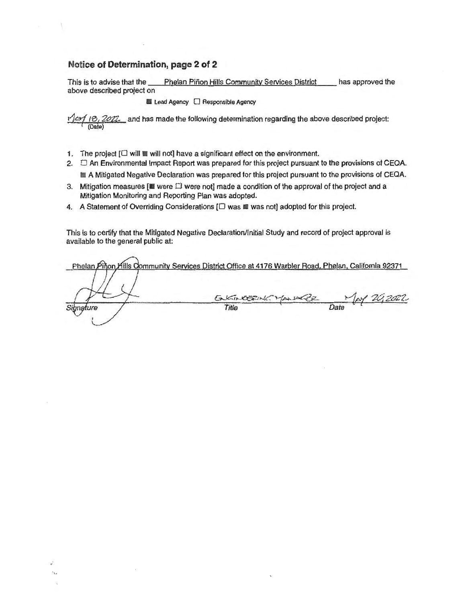## **Notice of Determination, page 2 of 2**

 $\alpha$ 

This is to advise that the Phelan Pinon Hills Community Services District has approved the above described project on

**ELead Agency C Responsible Agency** 

2022\_ and has made the following determination regarding the above described project: **(Date)** 

- 1. The project  $[\Box$  will  $\Box$  will not] have a significant effect on the environment.
- 2.  $\Box$  An Environmental Impact Report was prepared for this project pursuant to the provisions of CEQA.
	- **E.** A Mitigated Negative Declaration was prepared for this project pursuant to the provisions of CEQA.
- 3. Mitigation measures  $[$  were  $\Box$  were not] made a condition of the approval of the project and a Mitigation Monitoring and Reporting Plan was adopted.
- 4. A Statement of Overriding Considerations  $[\Box$  was  $\blacksquare$  was not] adopted for this project.

This is to certify that the Mitigated Negative Declaration/Initial Study and record of project approval is available to the general public at:

Phelan Pinon Hills Community Services District Office at 4176 Warbler Road, Phelan, California 92371 KINCERNE MANAGE MAY 2012022 ENGINEERING  $MZ$ Signature